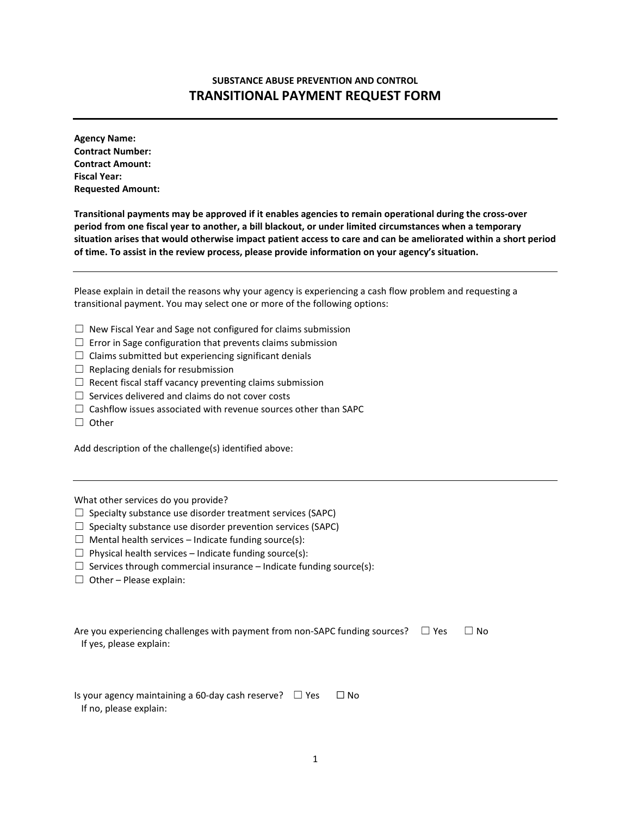## **SUBSTANCE ABUSE PREVENTION AND CONTROL TRANSITIONAL PAYMENT REQUEST FORM**

**Agency Name: Contract Number: Contract Amount: Fiscal Year: Requested Amount:** 

**Transitional payments may be approved if it enables agencies to remain operational during the cross-over period from one fiscal year to another, a bill blackout, or under limited circumstances when a temporary situation arises that would otherwise impact patient access to care and can be ameliorated within a short period of time. To assist in the review process, please provide information on your agency's situation.** 

Please explain in detail the reasons why your agency is experiencing a cash flow problem and requesting a transitional payment. You may select one or more of the following options:

- $\Box$  New Fiscal Year and Sage not configured for claims submission
- $\Box$  Error in Sage configuration that prevents claims submission
- $\Box$  Claims submitted but experiencing significant denials
- $\Box$  Replacing denials for resubmission
- $\Box$  Recent fiscal staff vacancy preventing claims submission
- $\Box$  Services delivered and claims do not cover costs
- $\Box$  Cashflow issues associated with revenue sources other than SAPC
- ☐ Other

Add description of the challenge(s) identified above:

What other services do you provide?

- $\Box$  Specialty substance use disorder treatment services (SAPC)
- $\Box$  Specialty substance use disorder prevention services (SAPC)
- $\Box$  Mental health services Indicate funding source(s):
- $\Box$  Physical health services Indicate funding source(s):
- $\Box$  Services through commercial insurance Indicate funding source(s):
- $\Box$  Other Please explain:

| Are you experiencing challenges with payment from non-SAPC funding sources? $\square$ Yes | $\Box$ No |
|-------------------------------------------------------------------------------------------|-----------|
| If yes, please explain:                                                                   |           |

Is your agency maintaining a 60-day cash reserve?  $\Box$  Yes  $\Box$  No If no, please explain: